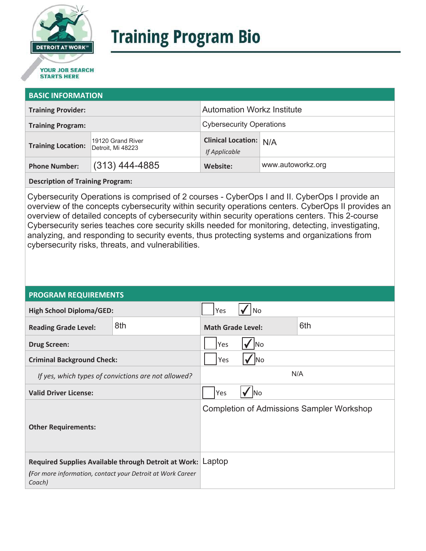

# **Training Program Bio**

## **STARTS HERE**

#### **BASIC INFORMATION**

| <b>Training Provider:</b> |                                        | <b>Automation Workz Institute</b>              |                   |  |
|---------------------------|----------------------------------------|------------------------------------------------|-------------------|--|
| <b>Training Program:</b>  |                                        | <b>Cybersecurity Operations</b>                |                   |  |
| <b>Training Location:</b> | 19120 Grand River<br>Detroit, Mi 48223 | <b>Clinical Location: N/A</b><br>If Applicable |                   |  |
| <b>Phone Number:</b>      | $(313)$ 444-4885                       | Website:                                       | www.autoworkz.org |  |

**Description of Training Program:** 

Cybersecurity Operations is comprised of 2 courses - CyberOps I and II. CyberOps I provide an overview of the concepts cybersecurity within security operations centers. CyberOps II provides an overview of detailed concepts of cybersecurity within security operations centers. This 2-course Cybersecurity series teaches core security skills needed for monitoring, detecting, investigating, analyzing, and responding to security events, thus protecting systems and organizations from cybersecurity risks, threats, and vulnerabilities.

#### **PROGRAM REQUIREMENTS**

| <b>High School Diploma/GED:</b>                                                                                                     |     | Yes                             | No        |                                                  |
|-------------------------------------------------------------------------------------------------------------------------------------|-----|---------------------------------|-----------|--------------------------------------------------|
| <b>Reading Grade Level:</b>                                                                                                         | 8th | 6th<br><b>Math Grade Level:</b> |           |                                                  |
| <b>Drug Screen:</b>                                                                                                                 |     | <b>No</b><br>Yes                |           |                                                  |
| <b>Criminal Background Check:</b>                                                                                                   |     | Yes                             | <b>No</b> |                                                  |
| If yes, which types of convictions are not allowed?                                                                                 |     | N/A                             |           |                                                  |
| <b>Valid Driver License:</b>                                                                                                        |     | Yes                             | <b>No</b> |                                                  |
| <b>Other Requirements:</b>                                                                                                          |     |                                 |           | <b>Completion of Admissions Sampler Workshop</b> |
| Required Supplies Available through Detroit at Work: Laptop<br>(For more information, contact your Detroit at Work Career<br>Coach) |     |                                 |           |                                                  |